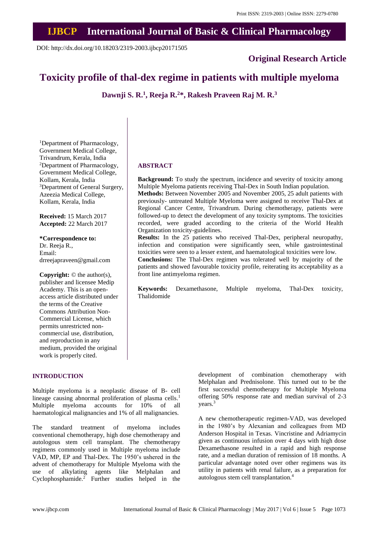## **IJBCP International Journal of Basic & Clinical Pharmacology**

DOI: http://dx.doi.org/10.18203/2319-2003.ijbcp20171505

**Original Research Article**

# **Toxicity profile of thal-dex regime in patients with multiple myeloma**

**Dawnji S. R.<sup>1</sup> , Reeja R.<sup>2</sup>\*, Rakesh Praveen Raj M. R.<sup>3</sup>**

<sup>1</sup>Department of Pharmacology, Government Medical College, Trivandrum, Kerala, India <sup>2</sup>Department of Pharmacology, Government Medical College, Kollam, Kerala, India <sup>3</sup>Department of General Surgery, Azeezia Medical College, Kollam, Kerala, India

**Received:** 15 March 2017 **Accepted:** 22 March 2017

#### **\*Correspondence to:**

Dr. Reeja R., Email: drreejapraveen@gmail.com

**Copyright:** © the author(s), publisher and licensee Medip Academy. This is an openaccess article distributed under the terms of the Creative Commons Attribution Non-Commercial License, which permits unrestricted noncommercial use, distribution, and reproduction in any medium, provided the original work is properly cited.

### **INTRODUCTION**

Multiple myeloma is a neoplastic disease of B- cell lineage causing abnormal proliferation of plasma cells. 1 Multiple myeloma accounts for 10% of all haematological malignancies and 1% of all malignancies.

The standard treatment of myeloma includes conventional chemotherapy, high dose chemotherapy and autologous stem cell transplant. The chemotherapy regimens commonly used in Multiple myeloma include VAD, MP, EP and Thal-Dex. The 1950's ushered in the advent of chemotherapy for Multiple Myeloma with the use of alkylating agents like Melphalan and Cyclophosphamide.<sup>2</sup> Further studies helped in the development of combination chemotherapy with Melphalan and Prednisolone. This turned out to be the first successful chemotherapy for Multiple Myeloma offering 50% response rate and median survival of 2-3 years. 3

A new chemotherapeutic regimen-VAD, was developed in the 1980's by Alexanian and colleagues from MD Anderson Hospital in Texas. Vincristine and Adriamycin given as continuous infusion over 4 days with high dose Dexamethasone resulted in a rapid and high response rate, and a median duration of remission of 18 months. A particular advantage noted over other regimens was its utility in patients with renal failure, as a preparation for autologous stem cell transplantation.<sup>4</sup>

# **ABSTRACT**

**Background:** To study the spectrum, incidence and severity of toxicity among Multiple Myeloma patients receiving Thal-Dex in South Indian population.

**Methods:** Between November 2005 and November 2005, 25 adult patients with previously- untreated Multiple Myeloma were assigned to receive Thal-Dex at Regional Cancer Centre, Trivandrum. During chemotherapy, patients were followed-up to detect the development of any toxicity symptoms. The toxicities recorded, were graded according to the criteria of the World Health Organization toxicity-guidelines.

**Results:** In the 25 patients who received Thal-Dex, peripheral neuropathy, infection and constipation were significantly seen, while gastrointestinal toxicities were seen to a lesser extent, and haematological toxicities were low.

**Conclusions:** The Thal-Dex regimen was tolerated well by majority of the patients and showed favourable toxicity profile, reiterating its acceptability as a front line antimyeloma regimen.

**Keywords:** Dexamethasone, Multiple myeloma, Thal-Dex toxicity, Thalidomide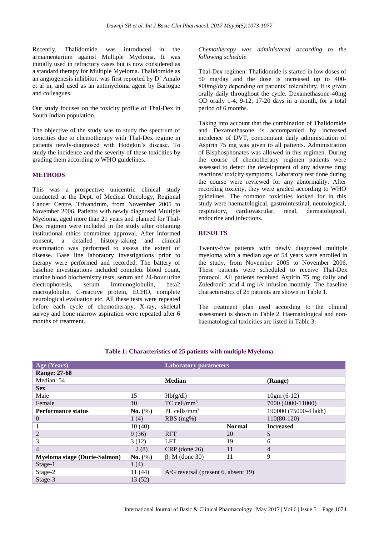Recently, Thalidomide was introduced in the armamentarium against Multiple Myeloma. It was initially used in refractory cases but is now considered as a standard therapy for Multiple Myeloma. Thalidomide as an angiogenesis inhibitor, was first reported by D' Amalo et al in, and used as an antimyeloma agent by Barlogue and colleagues.

Our study focuses on the toxicity profile of Thal-Dex in South Indian population.

The objective of the study was to study the spectrum of toxicities due to chemotherapy with Thal-Dex regime in patients newly-diagnosed with Hodgkin's disease. To study the incidence and the severity of these toxicities by grading them according to WHO guidelines.

### **METHODS**

This was a prospective unicentric clinical study conducted at the Dept. of Medical Oncology, Regional Cancer Centre, Trivandrum, from November 2005 to November 2006. Patients with newly diagnosed Multiple Myeloma, aged more than 21 years and planned for Thal-Dex regimen were included in the study after obtaining institutional ethics committee approval. After informed consent, a detailed history-taking and clinical examination was performed to assess the extent of disease. Base line laboratory investigations prior to therapy were performed and recorded. The battery of baseline investigations included complete blood count, routine blood biochemistry tests, serum and 24-hour urine electrophoresis, serum Immunoglobulin, beta2 macroglobulin, C-reactive protein, ECHO, complete neurological evaluation etc. All these tests were repeated before each cycle of chemotherapy. X-ray, skeletal survey and bone marrow aspiration were repeated after 6 months of treatment.

*Chemotherapy was administered according to the following schedule*

Thal-Dex regimen: Thalidomide is started in low doses of 50 mg/day and the dose is increased up to 400- 800mg/day depending on patients' tolerability. It is given orally daily throughout the cycle. Dexamethasone-40mg OD orally 1-4, 9-12, 17-20 days in a month, for a total period of 6 months.

Taking into account that the combination of Thalidomide and Dexamethasone is accompanied by increased incidence of DVT, concomitant daily administration of Aspirin 75 mg was given to all patients. Administration of Bisphosphonates was allowed in this regimen. During the course of chemotherapy regimen patients were assessed to detect the development of any adverse drug reactions/ toxicity symptoms. Laboratory test done during the course were reviewed for any abnormality. After recording toxicity, they were graded according to WHO guidelines. The common toxicities looked for in this study were haematological, gastrointestinal, neurological, respiratory, cardiovascular, renal, dermatological, endocrine and infections.

### **RESULTS**

Twenty-five patients with newly diagnosed multiple myeloma with a median age of 54 years were enrolled in the study, from November 2005 to November 2006. These patients were scheduled to receive Thal-Dex protocol. All patients received Aspirin 75 mg daily and Zoledronic acid 4 mg i/v infusion monthly. The baseline characteristics of 25 patients are shown in Table 1.

The treatment plan used according to the clinical assessment is shown in Table 2. Haematological and nonhaematological toxicities are listed in Table 3.

| Age (Years)                         |             | <b>Laboratory parameters</b>        |               |                       |  |
|-------------------------------------|-------------|-------------------------------------|---------------|-----------------------|--|
| <b>Range: 27-68</b>                 |             |                                     |               |                       |  |
| Median: 54                          |             | <b>Median</b>                       |               | (Range)               |  |
| <b>Sex</b>                          |             |                                     |               |                       |  |
| Male                                | 15          | Hb(g/dl)                            |               | $10gm(6-12)$          |  |
| Female                              | 10          | $TC$ cell/mm <sup>3</sup>           |               | 7000 (4000-11000)     |  |
| <b>Performance status</b>           | No. (%)     | PL cells/ $mm3$                     |               | 190000 (75000-4 lakh) |  |
| 0                                   | 1(4)        | $RBS(mg\%)$                         |               | $110(80-120)$         |  |
|                                     | 10(40)      |                                     | <b>Normal</b> | <b>Increased</b>      |  |
| $\overline{2}$                      | 9(36)       | <b>RFT</b>                          | 20            | 5                     |  |
| 3                                   | 3(12)       | <b>LFT</b>                          | 19            | 6                     |  |
| 4                                   | 2(8)        | $CRP$ (done 26)                     | 11            | $\overline{4}$        |  |
| <b>Myeloma stage (Durie-Salmon)</b> | No. $(\% )$ | $\beta_2$ M (done 30)               | 11            | 9                     |  |
| Stage-1                             | 1(4)        |                                     |               |                       |  |
| Stage-2                             | 11 (44)     | A/G reversal (present 6, absent 19) |               |                       |  |
| Stage-3                             | 13(52)      |                                     |               |                       |  |

### **Table 1: Characteristics of 25 patients with multiple Myeloma.**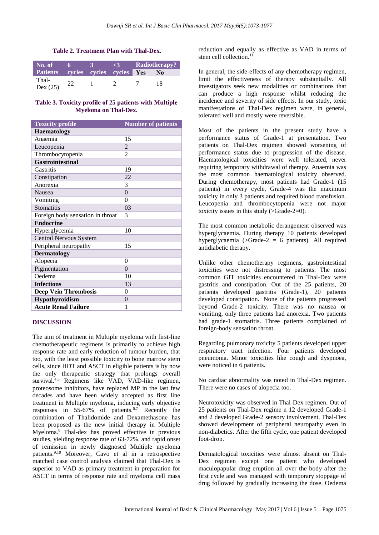### **Table 2. Treatment Plan with Thal-Dex.**

| No. of           |                                 | 31 | Radiotherapy?  |
|------------------|---------------------------------|----|----------------|
| Patients         | cycles cycles cycles <b>Yes</b> |    | N <sub>0</sub> |
| Thal-<br>Dex(25) |                                 |    | 18             |

### **Table 3. Toxicity profile of 25 patients with Multiple Myeloma on Thal-Dex.**

| <b>Toxicity profile</b>          | <b>Number of patients</b> |
|----------------------------------|---------------------------|
| <b>Haematology</b>               |                           |
| Anaemia                          | 15                        |
| Leucopenia                       | $\overline{2}$            |
| Thrombocytopenia                 | $\mathfrak{D}$            |
| <b>Gastrointestinal</b>          |                           |
| Gastritis                        | 19                        |
| Constipation                     | 22                        |
| Anorexia                         | 3                         |
| <b>Nausea</b>                    | $\theta$                  |
| Vomiting                         | 0                         |
| Stomatitis                       | 03                        |
| Foreign body sensation in throat | 3                         |
| <b>Endocrine</b>                 |                           |
| Hyperglycemia                    | 10                        |
| Central Nervous System           |                           |
| Peripheral neuropathy            | 15                        |
| <b>Dermatology</b>               |                           |
| Alopecia                         | 0                         |
| Pigmentation                     | $\theta$                  |
| Oedema                           | 10                        |
| <b>Infections</b>                | 13                        |
| <b>Deep Vein Thrombosis</b>      | 0                         |
| Hypothyroidism                   | $\theta$                  |
| <b>Acute Renal Failure</b>       | 1                         |

### **DISCUSSION**

The aim of treatment in Multiple myeloma with first-line chemotherapeutic regimens is primarily to achieve high response rate and early reduction of tumour burden, that too, with the least possible toxicity to bone marrow stem cells, since HDT and ASCT in eligible patients is by now the only therapeutic strategy that prolongs overall survival. $4.5$  Regimens like VAD, VAD-like regimen, proteosome inhibitors, have replaced MP in the last few decades and have been widely accepted as first line treatment in Multiple myeloma, inducing early objective responses in  $55-67\%$  of patients.<sup>6,7</sup> Recently the combination of Thalidomide and Dexamethasone has been proposed as the new initial therapy in Multiple Myeloma. <sup>8</sup> Thal-dex has proved effective in previous studies, yielding response rate of 63-72%, and rapid onset of remission in newly diagnosed Multiple myeloma patients.9,10 Moreover, Cavo et al in a retrospective matched case control analysis claimed that Thal-Dex is superior to VAD as primary treatment in preparation for ASCT in terms of response rate and myeloma cell mass reduction and equally as effective as VAD in terms of stem cell collection.<sup>11</sup>

In general, the side-effects of any chemotherapy regimen, limit the effectiveness of therapy substantially. All investigators seek new modalities or combinations that can produce a high response whilst reducing the incidence and severity of side effects. In our study, toxic manifestations of Thal-Dex regimen were, in general, tolerated well and mostly were reversible.

Most of the patients in the present study have a performance status of Grade-1 at presentation. Two patients on Thal-Dex regimen showed worsening of performance status due to progression of the disease. Haematological toxicities were well tolerated, never requiring temporary withdrawal of therapy. Anaemia was the most common haematological toxicity observed. During chemotherapy, most patients had Grade-1 (15 patients) in every cycle, Grade-4 was the maximum toxicity in only 3 patients and required blood transfusion. Leucopenia and thrombocytopenia were not major toxicity issues in this study (>Grade-2=0).

The most common metabolic derangement observed was hyperglycaemia. During therapy 10 patients developed hyperglycaemia ( $\geq$ Grade-2 = 6 patients). All required antidiabetic therapy.

Unlike other chemotherapy regimens, gastrointestinal toxicities were not distressing to patients. The most common GIT toxicities encountered in Thal-Dex were gastritis and constipation. Out of the 25 patients, 20 patients developed gastritis (Grade-1), 20 patients developed constipation. None of the patients progressed beyond Grade-2 toxicity. There was no nausea or vomiting, only three patients had anorexia. Two patients had grade-1 stomatitis. Three patients complained of foreign-body sensation throat.

Regarding pulmonary toxicity 5 patients developed upper respiratory tract infection. Four patients developed pneumonia. Minor toxicities like cough and dyspnoea, were noticed in 6 patients.

No cardiac abnormality was noted in Thal-Dex regimen. There were no cases of alopecia too.

Neurotoxicity was observed in Thal-Dex regimen. Out of 25 patients on Thal-Dex regime n 12 developed Grade-1 and 2 developed Grade-2 sensory involvement. Thal-Dex showed development of peripheral neuropathy even in non-diabetics. After the fifth cycle, one patient developed foot-drop.

Dermatological toxicities were almost absent on Thal-Dex regimen except one patient who developed maculopapular drug eruption all over the body after the first cycle and was managed with temporary stoppage of drug followed by gradually increasing the dose. Oedema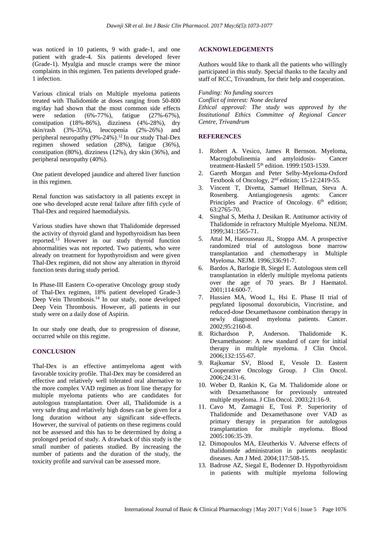was noticed in 10 patients, 9 with grade-1, and one patient with grade-4. Six patients developed fever (Grade-1). Myalgia and muscle cramps were the minor complaints in this regimen. Ten patients developed grade-1 infection.

Various clinical trials on Multiple myeloma patients treated with Thalidomide at doses ranging from 50-800 mg/day had shown that the most common side effects were sedation (6%-77%), fatigue (27%-67%), constipation (18%-86%), dizziness (4%-28%), dry skin/rash (3%-35%), leucopenia (2%-26%) and peripheral neuropathy  $(9\% - 24\%)$ .<sup>12</sup> In our study Thal-Dex regimen showed sedation (28%), fatigue (36%), constipation (80%), dizziness (12%), dry skin (36%), and peripheral neuropathy (40%).

One patient developed jaundice and altered liver function in this regimen.

Renal function was satisfactory in all patients except in one who developed acute renal failure after fifth cycle of Thal-Dex and required haemodialysis.

Various studies have shown that Thalidomide depressed the activity of thyroid gland and hypothyroidism has been reported.<sup>13</sup> However in our study thyroid function abnormalities was not reported. Two patients, who were already on treatment for hypothyroidism and were given Thal-Dex regimen, did not show any alteration in thyroid function tests during study period.

In Phase-III Eastern Co-operative Oncology group study of Thal-Dex regimen, 18% patient developed Grade-3 Deep Vein Thrombosis.<sup>14</sup> In our study, none developed Deep Vein Thrombosis. However, all patients in our study were on a daily dose of Aspirin.

In our study one death, due to progression of disease, occurred while on this regime.

### **CONCLUSION**

Thal-Dex is an effective antimyeloma agent with favorable toxicity profile. Thal-Dex may be considered an effective and relatively well tolerated oral alternative to the more complex VAD regimen as front line therapy for multiple myeloma patients who are candidates for autologous transplantation. Over all, Thalidomide is a very safe drug and relatively high doses can be given for a long duration without any significant side-effects. However, the survival of patients on these regimens could not be assessed and this has to be determined by doing a prolonged period of study. A drawback of this study is the small number of patients studied. By increasing the number of patients and the duration of the study, the toxicity profile and survival can be assessed more.

### **ACKNOWLEDGEMENTS**

Authors would like to thank all the patients who willingly participated in this study. Special thanks to the faculty and staff of RCC, Trivandrum, for their help and cooperation.

*Funding: No funding sources*

*Conflict of interest: None declared Ethical approval: The study was approved by the Institutional Ethics Committee of Regional Cancer Centre, Trivandrum*

### **REFERENCES**

- 1. Robert A. Vesico, James R Bernson. Myeloma, Macroglobulinemia and amyloidosis- Cancer treatment-Haskell 5<sup>th</sup> edition. 1999:1503-1539.
- 2. Gareth Morgan and Peter Selby-Myeloma-Oxford Textbook of Oncology, 2nd edition; 15-12:2419-55.
- 3. Vincent T, Divetta, Samuel Hellman, Steva A. Rosenberg. Antiangiogenesis agents: Cancer Principles and Practice of Oncology. 6<sup>th</sup> edition; 63:2765-70.
- 4. Singhal S, Metha J, Desikan R. Antitumor activity of Thalidomide in refractory Multiple Myeloma. NEJM. 1999;341:1565-71.
- 5. Attal M, Harousseau JL, Stoppa AM. A prospective randomized trial of autologous bone marrow transplantation and chemotherapy in Multiple Myeloma. NEJM. 1996;336:91-7.
- 6. Bardos A, Barlogie B, Siegel E. Autologous stem cell transplantation in elderly multiple myeloma patients over the age of 70 years. Br J Haematol. 2001;114:600-7.
- 7. Hussien MA, Wood L, Hsi E. Phase II trial of pegylated liposomal doxorubicin, Vincristine, and reduced-dose Dexamethasone combination therapy in newly diagnosed myeloma patients. Cancer. 2002;95:2160-8.
- 8. Richardson P, Anderson. Thalidomide K. Dexamethasone: A new standard of care for initial therapy in multiple myeloma. J Clin Oncol. 2006;132:155-67.
- 9. Rajkumar SV, Blood E, Vesole D. Eastern Cooperative Oncology Group. J Clin Oncol. 2006;24:31-6.
- 10. Weber D, Rankin K, Ga M. Thalidomide alone or with Dexamethasone for previously untreated multiple myeloma. J Clin Oncol. 2003;21:16-9.
- 11. Cavo M, Zamagni E, Tosi P. Superiority of Thalidomide and Dexamethasone over VAD as primary therapy in preparation for autologous transplantation for multiple myeloma. Blood 2005:106:35-39.
- 12. Dimopoulos MA, Eleutherkis V. Adverse effects of thalidomide administration in patients neoplastic diseases. Am J Med. 2004;117:508-15.
- 13. Badrose AZ, Siegal E, Bodenner D. Hypothyroidism in patients with multiple myeloma following